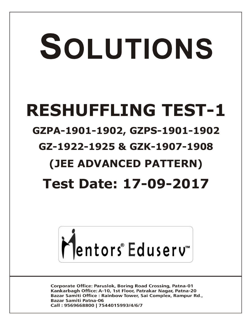# SOLUTIONS

## **RESHUFFLING TEST-1**

### **GZPA-1901-1902, GZPS-1901-1902**

## **GZ-1922-1925 & GZK-1907-1908**

## **(JEE ADVANCED PATTERN)**

## **Test Date: 17-09-2017**



**Corporate Office: Paruslok, Boring Road Crossing, Patna-01** Kankarbagh Office: A-10, 1st Floor, Patrakar Nagar, Patna-20 Bazar Samiti Office: Rainbow Tower, Sai Complex, Rampur Rd., **Bazar Samiti Patna-06** Call: 9569668800 | 7544015993/4/6/7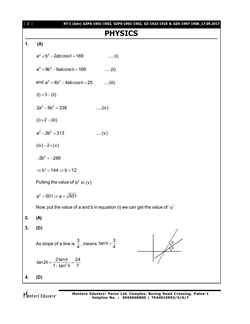#### **PHYSICS**

#### **1. (A)**

|    | $a^2 + b^2 - 2ab\cos\theta = 169$<br>$\dots(i)$                                    |
|----|------------------------------------------------------------------------------------|
|    | $a^2 + 9b^2 - 6ab\cos\theta = 169$<br>$\dots$ (ii)                                 |
|    | and $a^2 + 4b^2 - 4ab\cos\theta = 25$ (iii)                                        |
|    | $(i) \times 3 - (ii)$                                                              |
|    | $2a^2 - 6b^2 = 338$<br>(iv)                                                        |
|    | $(i) \times 2 - (iii)$                                                             |
|    | $a^2 - 2b^2 = 313$<br>(v)                                                          |
|    | $(iv) - 2 \times (v)$                                                              |
|    | $-2b^2 = -288$                                                                     |
|    | $\Rightarrow$ b <sup>2</sup> = 144 $\Rightarrow$ b = 12                            |
|    | Putting the value of $b^2$ in (v)                                                  |
|    | $a^2 = 501 \Rightarrow a = \sqrt{501}$                                             |
|    | Now, put the value of a and b in equation (i) we can get the value of ' $\theta$ ' |
| 2. | (A)                                                                                |
| 3. | (D)                                                                                |
|    | As slope of a line is $\frac{3}{4}$ , means $\tan \theta = \frac{3}{4}$            |
|    | $\tan 2\theta = \frac{2\tan\theta}{1-\tan^2\theta} = \frac{24}{7}$                 |
|    | (D)                                                                                |

Mentors<sup>®</sup> Eduserv<sup>®</sup>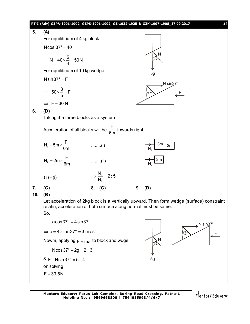

$$
N = 40 \times \frac{5}{4} = 50 N
$$
  
\nFor equilibrium of 10 kg wedge  
\nNsin37° = F  
\n
$$
\Rightarrow 50 \times \frac{3}{5} = F
$$
  
\n
$$
\Rightarrow F = 30 N
$$
  
\n6. (D)  
\nTaking the three blocks as a system  
\nAcceleration of all blocks will be  $\frac{F}{6m}$  towards right  
\n
$$
N_1 = 5m \times \frac{F}{6m}
$$
 .........(i)  
\n
$$
N_2 = 2m \times \frac{F}{6m}
$$
 .........(ii)  
\n(ii) + (i)  
\n
$$
\Rightarrow \frac{N_2}{N_1} = 2:5
$$
  
\n7. (C)  
\n8. (C)  
\n9. (D)  
\n10. (B)  
\nLet acceleration of 2kg block is a vertically upward. Then form wedge (surface) constraint  
\nrelation, acceleration of both surface along normal must be same.  
\nSo,  
\n
$$
a cos 37° = 4 sin 37°
$$
  
\n
$$
\Rightarrow a = 4 \times tan 37° = 3 m/s^2
$$
  
\nNow, applying  $\bar{F} = \frac{1}{ma}$  to block and wdg  
\nNcos37° - 2g = 2×3  
\n& F - Nsin37° = 5×4  
\n8. F - Nsin37° = 5×4  
\nSg

on solving  $F = 39.5N$ 

**Mentors Eduserv: Parus Lok Complex, Boring Road Crossing, Patna-1 Helpline No. : 9569668800 | 7544015993/4/6/7**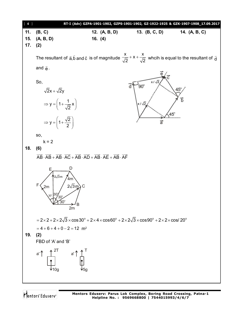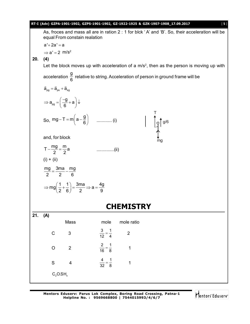|     |                                                                                               |                                                                                                        |                              |                |  | RT-I (Adv) GZPA-1901-1902, GZPS-1901-1902, GZ-1922-1925 & GZK-1907-1908_17.09.2017<br>[5]             |  |  |
|-----|-----------------------------------------------------------------------------------------------|--------------------------------------------------------------------------------------------------------|------------------------------|----------------|--|-------------------------------------------------------------------------------------------------------|--|--|
|     |                                                                                               | equal From constain realation                                                                          |                              |                |  | As, froces and mass all are in ration 2 : 1 for blck 'A' and 'B'. So, their acceleration will be      |  |  |
|     | $a'+ 2a' = a$                                                                                 |                                                                                                        |                              |                |  |                                                                                                       |  |  |
|     | $\Rightarrow$ a' = 2 m/s <sup>2</sup>                                                         |                                                                                                        |                              |                |  |                                                                                                       |  |  |
| 20. | (4)                                                                                           |                                                                                                        |                              |                |  |                                                                                                       |  |  |
|     |                                                                                               |                                                                                                        |                              |                |  | Let the block moves up with acceleration of a m/s <sup>2</sup> , then as the person is moving up with |  |  |
|     | acceleration $\frac{9}{6}$ relative to string. Acceleration of person in ground frame will be |                                                                                                        |                              |                |  |                                                                                                       |  |  |
|     | $\vec{a}_{pq} = \vec{a}_{ps} + \vec{a}_{sq}$                                                  |                                                                                                        |                              |                |  |                                                                                                       |  |  |
|     |                                                                                               | $\Rightarrow$ a <sub>pg</sub> = $\left(\frac{-g}{6} + a\right)\downarrow$                              |                              |                |  |                                                                                                       |  |  |
|     |                                                                                               |                                                                                                        |                              |                |  | $\int_{0}^{1} \int_{0}^{\pi} 1^{g/6}$                                                                 |  |  |
|     | and, for block                                                                                |                                                                                                        |                              |                |  |                                                                                                       |  |  |
|     | $T - \frac{mg}{2} = \frac{m}{2}a$                                                             |                                                                                                        |                              |                |  |                                                                                                       |  |  |
|     | $(i) + (ii)$                                                                                  |                                                                                                        |                              |                |  |                                                                                                       |  |  |
|     | $\frac{mg}{2} = \frac{3ma}{2} - \frac{mg}{6}$                                                 |                                                                                                        |                              |                |  |                                                                                                       |  |  |
|     |                                                                                               | $\Rightarrow$ mg $\left(\frac{1}{2} + \frac{1}{6}\right) = \frac{3ma}{2} \Rightarrow a = \frac{4g}{9}$ |                              |                |  |                                                                                                       |  |  |
|     | <b>CHEMISTRY</b>                                                                              |                                                                                                        |                              |                |  |                                                                                                       |  |  |
| 21. | (A)                                                                                           |                                                                                                        |                              |                |  |                                                                                                       |  |  |
|     |                                                                                               | Mass                                                                                                   | mole                         | mole ratio     |  |                                                                                                       |  |  |
|     | $\mathsf C$                                                                                   | 3                                                                                                      | $\frac{3}{12} = \frac{1}{4}$ | $\overline{2}$ |  |                                                                                                       |  |  |
|     | $\mathsf O$                                                                                   | $\overline{2}$                                                                                         | $\frac{2}{16} = \frac{1}{8}$ | 1              |  |                                                                                                       |  |  |
|     | $\mathsf S$                                                                                   | $\overline{\mathbf{4}}$                                                                                | $\frac{4}{32} = \frac{1}{8}$ | $\mathbf 1$    |  |                                                                                                       |  |  |
|     | $C_2$ O.SH <sub>x</sub>                                                                       |                                                                                                        |                              |                |  |                                                                                                       |  |  |

Mentors<sup>e</sup> Eduserv<sup>-</sup>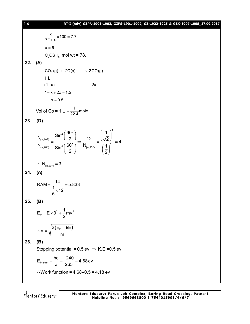#### [ **6** ] **RT-I (Adv) GZPA-1901-1902, GZPS-1901-1902, GZ-1922-1925 & GZK-1907-1908\_17.09.2017**

$$
\frac{x}{72+x} \times 100 = 7.7
$$
\nx = 6  
\nC<sub>2</sub>OSH<sub>6</sub> mol wt = 78.  
\n22. (A)  
\nCO<sub>2</sub>(g) + 2C(s) → 2CO(g)  
\n1 L  
\n(1-x)L 2x  
\n1-x+2x = 1.5  
\nx = 0.5  
\nVol of Co = 1 L =  $\frac{1}{22.4}$  mole.  
\n23. (D)  
\n
$$
\frac{N_{(a,60^\circ)}}{N_{(a,90^\circ)}} = \frac{\sin^4(\frac{90^\circ}{2})}{\sin^4(\frac{60^\circ}{2})} \Rightarrow \frac{12}{N_{(a,90^\circ)}} = \frac{(\frac{1}{\sqrt{2}})^4}{(\frac{1}{2})^4} = 4
$$
\n $\therefore N_{(a,90^\circ)} = 3$   
\n24. (A)  
\nRAM =  $\frac{14}{\frac{1}{5} \times 12} = 5.833$   
\n25. (B)  
\nE<sub>P</sub> = E $\times 3^2 + \frac{1}{2}$ mv<sup>2</sup>  
\n $\therefore V = \sqrt{\frac{2(E_P - 9E)}{m}}$   
\n26. (B)  
\nStopping potential = 0.5 ev  $\Rightarrow$  K.E.=0.5 ev  
\nE<sub>photon</sub> =  $\frac{hc}{\lambda} = \frac{1240}{265} = 4.68$ ev  
\n $\therefore$  Work function = 4.68-0.5 = 4.18 ev

Mentors<sup>®</sup> Eduserv<sup>®</sup>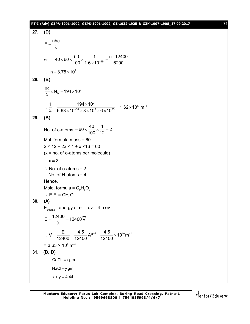#### **RT-I (Adv) GZPA-1901-1902, GZPS-1901-1902, GZ-1922-1925 & GZK-1907-1908\_17.09.2017** [ **7** ]

|     | $27.$ (D)                                                                                                                                                    |
|-----|--------------------------------------------------------------------------------------------------------------------------------------------------------------|
|     | $E = \frac{nhc}{\lambda}$                                                                                                                                    |
|     | or, $40 \times 60 \times \frac{50}{100} \times \frac{1}{1.6 \times 10^{-19}} = \frac{n \times 12400}{6200}$                                                  |
|     | :. $n = 3.75 \times 10^{21}$                                                                                                                                 |
|     | 28. (B)                                                                                                                                                      |
|     | $\frac{nc}{\lambda}$ × N <sub>A</sub> = 194 × 10 <sup>3</sup>                                                                                                |
|     | $\therefore \frac{1}{\lambda} = \frac{194 \times 10^3}{6.63 \times 10^{-34} \times 3 \times 10^8 \times 6 \times 10^{23}} = 1.62 \times 10^6 \text{ m}^{-1}$ |
| 29. | (B)                                                                                                                                                          |
|     | No. of c-atoms = $60 \times \frac{40}{100} \times \frac{1}{12} = 2$                                                                                          |
|     | Mol. formula mass $= 60$                                                                                                                                     |
|     | $2 \times 12 + 2x \times 1 + x \times 16 = 60$<br>$(x = no. of o-atoms per molecule)$                                                                        |
|     | $\therefore$ x = 2                                                                                                                                           |
|     | $\therefore$ No. of o-atoms = 2                                                                                                                              |
|     | No. of H-atoms $=$ 4                                                                                                                                         |
|     | Hence,                                                                                                                                                       |
|     | Mole. formula = $C_2H_4O_2$                                                                                                                                  |
| 30. | $\therefore$ E.F. = CH <sub>2</sub> O<br>(A)                                                                                                                 |
|     | $E_{\text{quanta}}$ = energy of e <sup>-</sup> = qv = 4.5 ev                                                                                                 |
|     | $E = \frac{12400}{\lambda} = 12400 \overline{V}$                                                                                                             |
|     | $\therefore \overline{V} = \frac{E}{12400} = \frac{4.5}{12400} A^{\circ -1} = \frac{4.5}{12400} \times 10^{10} m^{-1}$                                       |
|     | $= 3.63 \times 10^6$ m <sup>-1</sup>                                                                                                                         |
| 31. | (B, D)                                                                                                                                                       |
|     | $CaCl2 = x gm$                                                                                                                                               |
|     | $NaCl = y gm$                                                                                                                                                |
|     | $x + y = 4.44$                                                                                                                                               |

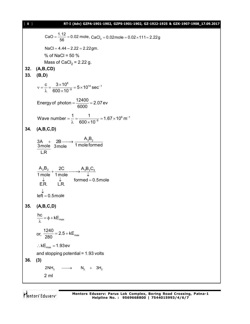| $[ 8 ]$ | RT-I (Adv) GZPA-1901-1902, GZPS-1901-1902, GZ-1922-1925 & GZK-1907-1908_17.09.2017                                                      |
|---------|-----------------------------------------------------------------------------------------------------------------------------------------|
|         | CaO = $\frac{1.12}{56}$ = 0.02 mole, CaCl <sub>2</sub> = 0.02mole = 0.02 × 111 = 2.22g                                                  |
|         | $NaCl = 4.44 - 2.22 = 2.22$ gm.                                                                                                         |
|         | % of NaCl = $50\%$                                                                                                                      |
|         | Mass of CaCl <sub>2</sub> = 2.22 g.                                                                                                     |
| 33.     | 32. (A,B,CD)<br>(B,D)                                                                                                                   |
|         |                                                                                                                                         |
|         | $v = \frac{c}{\lambda} = \frac{3 \times 10^8}{600 \times 10^{-9}} = 5 \times 10^{14} \text{ sec}^{-1}$                                  |
|         | Energy of photon = $\frac{12400}{6000}$ = 2.07 ev                                                                                       |
|         | Wave number = $\frac{1}{\lambda} = \frac{1}{600 \times 10^{-9}} = 1.67 \times 10^{6} \text{ m}^{-1}$                                    |
| 34.     | (A,B,C,D)                                                                                                                               |
|         | $3A + 2B \longrightarrow A_3B_2$<br>$3mole$ 3mole 1 mole formed<br>L.R                                                                  |
|         | $\frac{A_3B_2}{1 \text{ mole}} + \frac{2C}{1 \text{ mole}} \longrightarrow \frac{A_3B_2C_2}{\downarrow}$<br>E.R. L.R. tormed = 0.5 mole |
|         | $left = 0.5$ mole                                                                                                                       |
| 35.     | (A,B,C,D)                                                                                                                               |
|         | $\frac{hc}{\lambda} = \phi + kE_{max}$                                                                                                  |
|         | or, $\frac{1240}{280}$ = 2.5 + kE <sub>max</sub>                                                                                        |
|         | $\therefore$ kE <sub>max</sub> = 1.93 ev                                                                                                |
|         | and stopping potential = 1.93 volts                                                                                                     |
| 36.     | (3)                                                                                                                                     |
|         | $2NH_3 \longrightarrow N_2 + 3H_2$                                                                                                      |
|         | 2 <sub>m</sub>                                                                                                                          |

Mentors<sup>®</sup> Eduserv<sup>®</sup>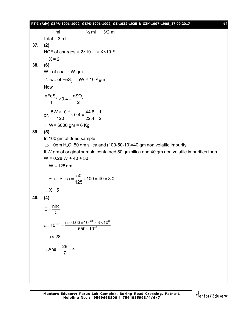#### **RT-I (Adv) GZPA-1901-1902, GZPS-1901-1902, GZ-1922-1925 & GZK-1907-1908\_17.09.2017** [ **9** ]

1 ml ½ ml 3/2 ml Total =  $3$  ml. **37. (2)** HCF of charges =  $2 \times 10^{-18}$  =  $X \times 10^{-18}$  $\therefore$  X = 2 **38. (6)** Wt. of  $coal = W$  gm  $\therefore$  wt. of FeS<sub>2</sub> = 5W × 10<sup>-2</sup> gm Now,  $\frac{nFeS_2}{1} \times 0.4 = \frac{nSO_2}{2}$ 1 2  $\times$  0.4 = or,  $\frac{5W \times 10^{-2}}{100 \times 10^{4}} \times 0.4 = \frac{44.8}{200 \times 10^{4}} \times \frac{1}{200}$ 120 22.4 2  $\frac{\times 10^{-2}}{20}$  × 0.4 =  $\frac{44.8}{20.4}$  ×  $\frac{44.8}{4}$ ∴ W= 6000 gm = 6 Kg **39. (5)** In 100 gm of dried sample  $\Rightarrow$  10gm H<sub>2</sub>O, 50 gm silica and (100-50-10)=40 gm non volatile impurity If W gm of original sample contained 50 gm silica and 40 gm non volatile impurities then  $W = 0.28 W + 40 + 50$  $\therefore$  W = 125 gm % of Silica =  $\frac{50}{105} \times 100 = 40 = 8 \text{ X}$ 125 ∴ % of Silica =  $\frac{90}{105}$  × 100 = 40 = 8  $\therefore$  X = 5 **40. (4)**  $E = \frac{nhc}{l}$ λ or,  $_{17}$   $\_$  n  $\times$  6.63  $\times$  10  $^{-34}$   $\times$  3  $\times$  10  $^{8}$  $10^{-17} = \frac{n \times 6.63 \times 10^{-34} \times 3 \times 10}{550 \times 10^{-9}}$  $550\times 10$  $_{-17}$   $\_$  n  $\times$  6.63  $\times$  10<sup>-</sup> ÷  $=\frac{n\times 6.63\times 10^{-34}\times 3\times 1}{550\cdot 10^{-9}}$  $\times$  $\therefore$  n  $\approx$  28 Ans  $=\frac{28}{7} = 4$ 7  $\therefore$  Ans  $=\frac{28}{7}=4$ 

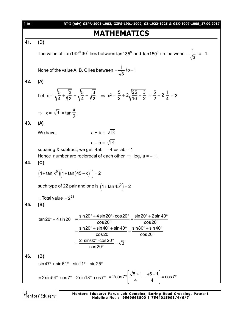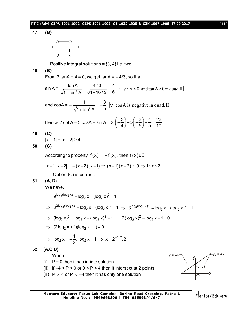#### **RT-I (Adv) GZPA-1901-1902, GZPS-1901-1902, GZ-1922-1925 & GZK-1907-1908\_17.09.2017** [ **11** ]

**47. (B)** 2 5 + – +  $\therefore$  Positive integral solutions = {3, 4} i.e. two **48. (B)** From 3 tanA +  $4 = 0$ , we get tanA =  $-4/3$ , so that  $sin A = \frac{tan B}{\sqrt{1 + tan^2}}$ tanA 4/3 4  $1 + \tan^2 A$   $\sqrt{1 + 16/9}$  5  $\frac{-\tan A}{\tan A} = \frac{4/3}{\sqrt{1-2.5}} =$  $+$  tan<sup>2</sup> A  $\sqrt{1}$  +  $\left[\because \sin A > 0 \text{ and } \tan A < 0 \text{ in } \text{quad.II}\right]$ and cosA =  $-\frac{1}{\sqrt{1+\tan^2{\theta}}}$ 1 3  $1 + \tan^2 A$  5  $=-\frac{6}{5}$  $^{+}$  $\left[\because \cos A \text{ is negative in quad.}\right]$ Hence 2 cot A – 5 cosA + sin A =  $2\left(-\frac{3}{4}\right)$  –  $5\left(-\frac{3}{5}\right)$  +  $\frac{4}{5}$  =  $\frac{23}{10}$  $\left(-\frac{3}{4}\right) - 5\left(-\frac{3}{5}\right) + \frac{4}{5} = \frac{3}{4}$ **49. (C)**  $|x-1| + |x-2| \ge 4$ **50. (C)** According to property  $|f(x)| = -f(x)$ , then  $f(x) \le 0$  $|x-1| |x-2| = -(x-2)(x-1) \Rightarrow (x-1)(x-2) \le 0 \Rightarrow 1 \le x \le 2$  $\therefore$  Option (C) is correct. **51. (A, D)** We have,  $9^{\log_3(\log_2 x)} = \log_2 x - (\log_2 x)^2 + 1$  $\Rightarrow 3^{2\log_3(\log_2 x)} = \log_2 x - (\log_2 x)^2 + 1 \Rightarrow 3^{\log_3(\log_2 x)^2} = \log_2 x - (\log_2 x)^2 + 1$ ⇒  $(log_2 x)^2 = log_2 x - (log_2 x)^2 + 1$  ⇒  $2(log_2 x)^2 - log_2 x - 1 = 0$  $\implies$  (2log<sub>2</sub> x + 1)(log<sub>2</sub> x - 1) = 0  $_2$  x =  $-\frac{1}{2}$ , log<sub>2</sub> x = 1  $\Rightarrow$  x = 2<sup>-1/2</sup>  $log_2 x = -\frac{1}{6}$ ,  $log_2 x = 1 \implies x = 2^{-1/2}$ , 2 2  $\Rightarrow$  log<sub>2</sub> x =  $-\frac{1}{2}$ , log<sub>2</sub> x = 1  $\Rightarrow$  x = 2<sup>-1</sup> **52. (A,C,D)** When (i)  $P = 0$  then it has infinte solution (ii) if  $-4 < P < 0$  or  $0 < P < 4$  then it intersect at 2 points  $y = -4x$   $\qquad \qquad y = 4x$ y O (iii)  $P \ge 4$  or  $P \le -4$  then it has only one solution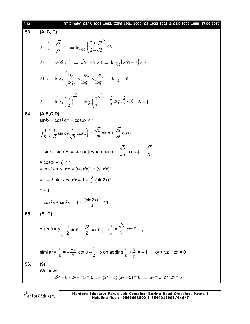#### [ **12** ] **RT-I (Adv) GZPA-1901-1902, GZPS-1901-1902, GZ-1922-1925 & GZK-1907-1908\_17.09.2017**

**53. (A, C, D)** As  $\frac{2+1}{2} > 1$  $2 - \sqrt{3}$  $\frac{2+\sqrt{3}}{\sqrt{2}}$ <sup>-</sup>  $\ddag$  $\Rightarrow$  log<sub>0.5</sub>  $\left|\frac{2+\sqrt{3}}{2-\sqrt{3}}\right| < 0$  $2 - \sqrt{3}$  $\left.\frac{2+\sqrt{3}}{2-\sqrt{3}}\right|<$  $\bigg)$  $\setminus$  $\overline{\phantom{a}}$  $\setminus$ ſ - $^{+}$ . As,  $\sqrt{65} > 8 \Rightarrow \sqrt{65} - 7 > 1 \Rightarrow \log_{12}(\sqrt{65} - 7) > 0$ . Also,  $\log_2 \left( \frac{\log_3}{\log_2} \times \frac{\log_5}{\log_2} \times \frac{\log_7}{\log_2} \right)$ J  $\left( \right)$  $\overline{\phantom{a}}$  $\setminus$ ſ  $x \frac{100}{1}x$ 3 7 7 5 5 3  $2 \left[\log_5 \left(\log_7 \right) \log_7 \right]$ log log log log log  $\log_2\left|\frac{\log_3 x}{\log x}\right| \times \frac{\log_5 x}{\log x}\right| = \log_2 1 = 0.$ As, 3 2  $\frac{7}{2}$  $\log_7\left(\frac{3}{5}\right)$  $\overline{a}$  $\overline{\phantom{a}}$ J  $\left(\frac{3}{2}\right)$  $\setminus$  $\left(\frac{3}{2}\right)^3 = \log_2\left(\frac{2}{2}\right)^3$ 2  $\sqrt[7]{3}$  $\log_7\left(\frac{2}{2}\right)$  $\bigg)$  $\left(\frac{2}{2}\right)$  $\setminus$  $\left(\frac{2}{2}\right)^3 = \frac{2}{3}\log_7\frac{2}{3} < 0$ 3  $\log_7 \frac{2}{3}$ 3 2  $7\frac{2}{3}$  < 0. Ans.] **54. (A,B,C,D)**  $sin^2x - cos^2x = -cos2x \le 1$  $\frac{6}{5}$   $\left(\frac{1}{5}\sin x + \frac{1}{5}\cos x\right)$ 5  $\sqrt{2}$   $\sqrt{3}$  $\left(\frac{1}{\sqrt{2}}\sin x + \frac{1}{\sqrt{3}}\cos x\right) = \frac{\sqrt{3}}{\sqrt{5}}\sin x + \frac{\sqrt{2}}{\sqrt{5}}\cos x$ 5 5  $^{+}$  $=$  sinx . sin $\phi$  + cosx cos $\phi$  where sin $\phi$  = 3  $\frac{1}{5}$ , cos  $\phi =$ 2 5  $= cos(x - \phi) \le 1$ =  $\cos^6 x + \sin^6 x = (\cos^2 x)^3 + (\sin^2 x)^3$ = 1 – 3 sin<sup>2</sup>x cos<sup>2</sup>x = 1 –  $\frac{3}{4}$ 4  $(sin2x)^2$  $=$  < 1 =  $\cos^2 x + \sin^2 x = 1 - \frac{(\sin 2x)^2}{4}$  $\frac{2n}{4}$   $\leq$  1 **55. (B, C)** x sin  $\theta = y \Big( - \frac{1}{2} \sin \theta + \frac{\sqrt{3}}{2} \cos \theta \Big)$  $\left(-\frac{1}{2} \text{sin} \theta + \frac{\sqrt{3}}{2} \text{cos} \theta\right)$  $(2 \t 2)$  $\Rightarrow \frac{x}{x}$ y  $=\frac{\sqrt{3}}{2}$ 2  $\cot \theta -$ 1 2 similarly x  $\frac{x}{z} = -\frac{\sqrt{3}}{2}$ 2  $\cot \theta -$ 1  $\frac{1}{2} \Rightarrow$  on adding x  $\frac{x}{z} + \frac{x}{y}$ y  $= -1 \Rightarrow xy + yz + zx = 0$ **56. (9)** We have,  $2^{2x} - 8 \cdot 2^{x} + 15 = 0 \Rightarrow (2^{x} - 3)(2^{x} - 5) = 0 \Rightarrow 2^{x} = 3$  or  $2^{x} = 5$ 

Mentors Eduserv

**Mentors Eduserv: Parus Lok Complex, Boring Road Crossing, Patna-1 Helpline No. : 9569668800 | 7544015993/4/6/7**